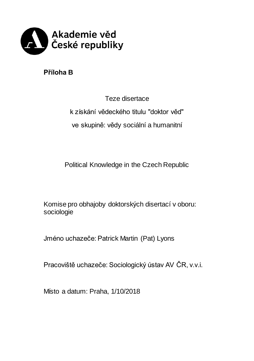

**Příloha B**

Teze disertace k získání vědeckého titulu "doktor věd" ve skupině: vědy sociální a humanitní

Political Knowledge in the Czech Republic

Komise pro obhajoby doktorských disertací v oboru: sociologie

Jméno uchazeče: Patrick Martin (Pat) Lyons

Pracoviště uchazeče: Sociologický ústav AV ČR, v.v.i.

Místo a datum: Praha, 1/10/2018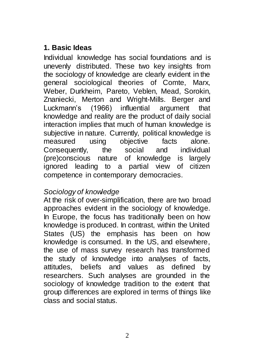# **1. Basic Ideas**

Individual knowledge has social foundations and is unevenly distributed. These two key insights from the sociology of knowledge are clearly evident in the general sociological theories of Comte, Marx, Weber, Durkheim, Pareto, Veblen, Mead, Sorokin, Znaniecki, Merton and Wright-Mills. Berger and Luckmann's (1966) influential argument that knowledge and reality are the product of daily social interaction implies that much of human knowledge is subiective in nature. Currently, political knowledge is measured using objective facts alone. Consequently, the social and individual (pre)conscious nature of knowledge is largely ignored leading to a partial view of citizen competence in contemporary democracies.

## *Sociology of knowledge*

At the risk of over-simplification, there are two broad approaches evident in the sociology of knowledge. In Europe, the focus has traditionally been on how knowledge is produced. In contrast, within the United States (US) the emphasis has been on how knowledge is consumed. In the US, and elsewhere, the use of mass survey research has transformed the study of knowledge into analyses of facts, attitudes, beliefs and values as defined by researchers. Such analyses are grounded in the sociology of knowledge tradition to the extent that group differences are explored in terms of things like class and social status.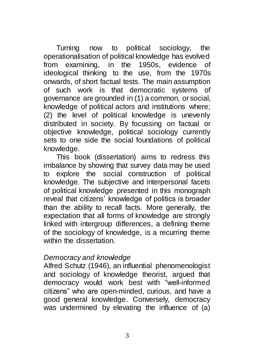Turning now to political sociology, the operationalisation of political knowledge has evolved from examining, in the  $1950s$ , evidence ideological thinking to the use, from the 1970s onwards, of short factual tests. The main assumption of such work is that democratic systems of governance are grounded in (1) a common, or social, knowledge of political actors and institutions where; (2) the level of political knowledge is unevenly distributed in society. By focussing on factual or objective knowledge, political sociology currently sets to one side the social foundations of political knowledge.

This book (dissertation) aims to redress this imbalance by showing that survey data may be used to explore the social construction of political knowledge. The subjective and interpersonal facets of political knowledge presented in this monograph reveal that citizens' knowledge of politics is broader than the ability to recall facts. More generally, the expectation that all forms of knowledge are strongly linked with intergroup differences, a defining theme of the sociology of knowledge, is a recurring theme within the dissertation.

#### *Democracy and knowledge*

Alfred Schutz (1946), an influential phenomenologist and sociology of knowledge theorist, argued that democracy would work best with "well-informed citizens" who are open-minded, curious, and have a good general knowledge. Conversely, democracy was undermined by elevating the influence of (a)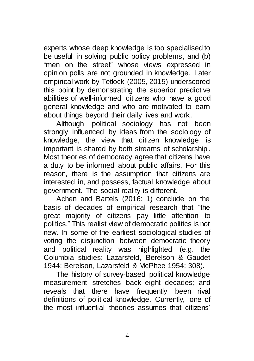experts whose deep knowledge is too specialised to be useful in solving public policy problems, and (b) "men on the street" whose views expressed in opinion polls are not grounded in knowledge. Later empirical work by Tetlock (2005, 2015) underscored this point by demonstrating the superior predictive abilities of well-informed citizens who have a good general knowledge and who are motivated to learn about things beyond their daily lives and work.

Although political sociology has not been strongly influenced by ideas from the sociology of knowledge, the view that citizen knowledge is important is shared by both streams of scholarship. Most theories of democracy agree that citizens have a duty to be informed about public affairs. For this reason, there is the assumption that citizens are interested in, and possess, factual knowledge about government. The social reality is different.

Achen and Bartels (2016: 1) conclude on the basis of decades of empirical research that "the great majority of citizens pay little attention to politics." This realist view of democratic politics is not new. In some of the earliest sociological studies of voting the disjunction between democratic theory and political reality was highlighted (e.g. the Columbia studies: Lazarsfeld, Berelson & Gaudet 1944; Berelson, Lazarsfeld & McPhee 1954: 308).

The history of survey-based political knowledge measurement stretches back eight decades; and reveals that there have frequently been rival definitions of political knowledge. Currently, one of the most influential theories assumes that citizens'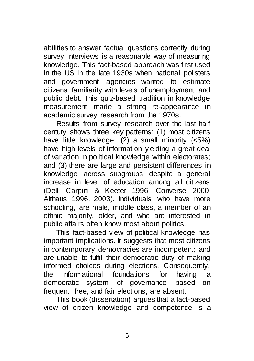abilities to answer factual questions correctly during survey interviews is a reasonable way of measuring knowledge. This fact-based approach was first used in the US in the late 1930s when national pollsters and government agencies wanted to estimate citizens' familiarity with levels of unemployment and public debt. This quiz-based tradition in knowledge measurement made a strong re-appearance in academic survey research from the 1970s.

Results from survey research over the last half century shows three key patterns: (1) most citizens have little knowledge; (2) a small minority (<5%) have high levels of information yielding a great deal of variation in political knowledge within electorates; and (3) there are large and persistent differences in knowledge across subgroups despite a general increase in level of education among all citizens (Delli Carpini & Keeter 1996; Converse 2000; Althaus 1996, 2003). Individuals who have more schooling, are male, middle class, a member of an ethnic majority, older, and who are interested in public affairs often know most about politics.

This fact-based view of political knowledge has important implications. It suggests that most citizens in contemporary democracies are incompetent; and are unable to fulfil their democratic duty of making informed choices during elections. Consequently, the informational foundations for having a democratic system of governance based on frequent, free, and fair elections, are absent.

This book (dissertation) argues that a fact-based view of citizen knowledge and competence is a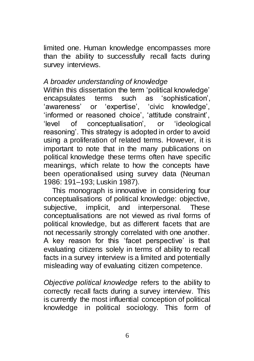limited one. Human knowledge encompasses more than the ability to successfully recall facts during survey interviews.

### *A broader understanding of knowledge*

Within this dissertation the term 'political knowledge' encapsulates terms such as 'sophistication', 'awareness' or 'expertise', 'civic knowledge', 'informed or reasoned choice', 'attitude constraint', 'level of conceptualisation', or 'ideological reasoning'. This strategy is adopted in order to avoid using a proliferation of related terms. However, it is important to note that in the many publications on political knowledge these terms often have specific meanings, which relate to how the concepts have been operationalised using survey data (Neuman 1986: 191–193; Luskin 1987).

This monograph is innovative in considering four conceptualisations of political knowledge: objective, subjective, implicit, and interpersonal. These conceptualisations are not viewed as rival forms of political knowledge, but as different facets that are not necessarily strongly correlated with one another. A key reason for this 'facet perspective' is that evaluating citizens solely in terms of ability to recall facts in a survey interview is a limited and potentially misleading way of evaluating citizen competence.

*Objective political knowledge* refers to the ability to correctly recall facts during a survey interview. This is currently the most influential conception of political knowledge in political sociology. This form of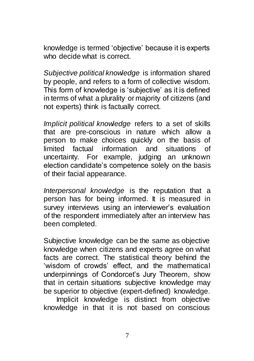knowledge is termed 'objective' because it is experts who decide what is correct.

*Subjective political knowledge* is information shared by people, and refers to a form of collective wisdom. This form of knowledge is 'subjective' as it is defined in terms of what a plurality or majority of citizens (and not experts) think is factually correct.

*Implicit political knowledge* refers to a set of skills that are pre-conscious in nature which allow a person to make choices quickly on the basis of limited factual information and situations of uncertainty. For example, judging an unknown election candidate's competence solely on the basis of their facial appearance.

*Interpersonal knowledge* is the reputation that a person has for being informed. It is measured in survey interviews using an interviewer's evaluation of the respondent immediately after an interview has been completed.

Subjective knowledge can be the same as objective knowledge when citizens and experts agree on what facts are correct. The statistical theory behind the 'wisdom of crowds' effect, and the mathematical underpinnings of Condorcet's Jury Theorem, show that in certain situations subjective knowledge may be superior to objective (expert-defined) knowledge.

Implicit knowledge is distinct from objective knowledge in that it is not based on conscious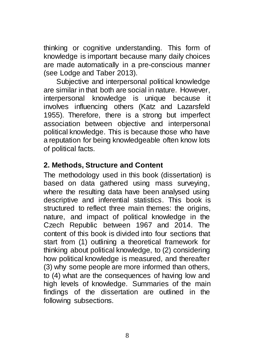thinking or cognitive understanding. This form of knowledge is important because many daily choices are made automatically in a pre-conscious manner (see Lodge and Taber 2013).

Subjective and interpersonal political knowledge are similar in that both are social in nature. However, interpersonal knowledge is unique because it involves influencing others (Katz and Lazarsfeld 1955). Therefore, there is a strong but imperfect association between objective and interpersonal political knowledge. This is because those who have a reputation for being knowledgeable often know lots of political facts.

## **2. Methods, Structure and Content**

The methodology used in this book (dissertation) is based on data gathered using mass surveying, where the resulting data have been analysed using descriptive and inferential statistics. This book is structured to reflect three main themes: the origins, nature, and impact of political knowledge in the Czech Republic between 1967 and 2014. The content of this book is divided into four sections that start from (1) outlining a theoretical framework for thinking about political knowledge, to (2) considering how political knowledge is measured, and thereafter (3) why some people are more informed than others, to (4) what are the consequences of having low and high levels of knowledge. Summaries of the main findings of the dissertation are outlined in the following subsections.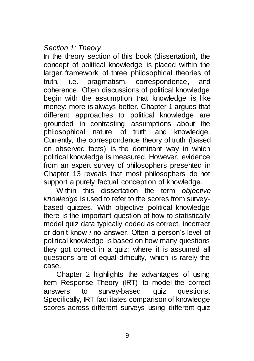### *Section 1: Theory*

In the theory section of this book (dissertation), the concept of political knowledge is placed within the larger framework of three philosophical theories of truth, i.e. pragmatism, correspondence, and coherence. Often discussions of political knowledge begin with the assumption that knowledge is like money: more is always better. Chapter 1 argues that different approaches to political knowledge are grounded in contrasting assumptions about the philosophical nature of truth and knowledge. Currently, the correspondence theory of truth (based on observed facts) is the dominant way in which political knowledge is measured. However, evidence from an expert survey of philosophers presented in Chapter 13 reveals that most philosophers do not support a purely factual conception of knowledge.

Within this dissertation the term *objective knowledge* is used to refer to the scores from surveybased quizzes. With objective political knowledge there is the important question of how to statistically model quiz data typically coded as correct, incorrect or don't know / no answer. Often a person's level of political knowledge is based on how many questions they got correct in a quiz; where it is assumed all questions are of equal difficulty, which is rarely the case.

Chapter 2 highlights the advantages of using Item Response Theory (IRT) to model the correct answers to survey-based quiz questions. Specifically, IRT facilitates comparison of knowledge scores across different surveys using different quiz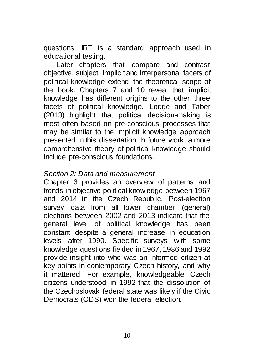questions. IRT is a standard approach used in educational testing.

Later chapters that compare and contrast objective, subject, implicit and interpersonal facets of political knowledge extend the theoretical scope of the book. Chapters 7 and 10 reveal that implicit knowledge has different origins to the other three facets of political knowledge. Lodge and Taber (2013) highlight that political decision-making is most often based on pre-conscious processes that may be similar to the implicit knowledge approach presented in this dissertation. In future work, a more comprehensive theory of political knowledge should include pre-conscious foundations.

### *Section 2: Data and measurement*

Chapter 3 provides an overview of patterns and trends in objective political knowledge between 1967 and 2014 in the Czech Republic. Post-election survey data from all lower chamber (general) elections between 2002 and 2013 indicate that the general level of political knowledge has been constant despite a general increase in education levels after 1990. Specific surveys with some knowledge questions fielded in 1967, 1986 and 1992 provide insight into who was an informed citizen at key points in contemporary Czech history, and why it mattered. For example, knowledgeable Czech citizens understood in 1992 that the dissolution of the Czechoslovak federal state was likely if the Civic Democrats (ODS) won the federal election.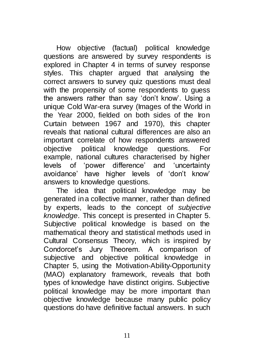How objective (factual) political knowledge questions are answered by survey respondents is explored in Chapter 4 in terms of survey response styles. This chapter argued that analysing the correct answers to survey quiz questions must deal with the propensity of some respondents to quess the answers rather than say 'don't know'. Using a unique Cold War-era survey (Images of the World in the Year 2000, fielded on both sides of the Iron Curtain between 1967 and 1970), this chapter reveals that national cultural differences are also an important correlate of how respondents answered objective political knowledge questions. For example, national cultures characterised by higher levels of 'power difference' and 'uncertainty avoidance' have higher levels of 'don't know' answers to knowledge questions.

The idea that political knowledge may be generated in a collective manner, rather than defined by experts, leads to the concept of *subjective knowledge*. This concept is presented in Chapter 5. Subjective political knowledge is based on the mathematical theory and statistical methods used in Cultural Consensus Theory, which is inspired by Condorcet's Jury Theorem. A comparison of subjective and objective political knowledge in Chapter 5, using the Motivation-Ability-Opportunity (MAO) explanatory framework, reveals that both types of knowledge have distinct origins. Subjective political knowledge may be more important than objective knowledge because many public policy questions do have definitive factual answers. In such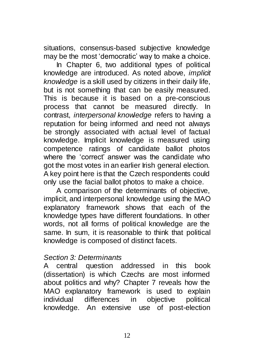situations, consensus-based subjective knowledge may be the most 'democratic' way to make a choice.

In Chapter 6, two additional types of political knowledge are introduced. As noted above, *implicit knowledge* is a skill used by citizens in their daily life, but is not something that can be easily measured. This is because it is based on a pre-conscious process that cannot be measured directly. In contrast, *interpersonal knowledge* refers to having a reputation for being informed and need not always be strongly associated with actual level of factual knowledge. Implicit knowledge is measured using competence ratings of candidate ballot photos where the 'correct' answer was the candidate who got the most votes in an earlier Irish general election. A key point here is that the Czech respondents could only use the facial ballot photos to make a choice.

A comparison of the determinants of objective, implicit, and interpersonal knowledge using the MAO explanatory framework shows that each of the knowledge types have different foundations. In other words, not all forms of political knowledge are the same. In sum, it is reasonable to think that political knowledge is composed of distinct facets.

### *Section 3: Determinants*

A central question addressed in this book (dissertation) is which Czechs are most informed about politics and why? Chapter 7 reveals how the MAO explanatory framework is used to explain individual differences in objective political knowledge. An extensive use of post-election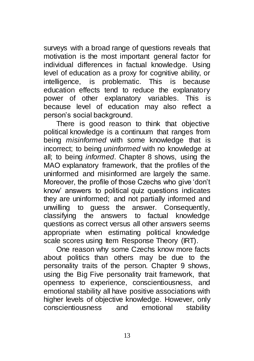surveys with a broad range of questions reveals that motivation is the most important general factor for individual differences in factual knowledge. Using level of education as a proxy for cognitive ability, or intelligence, is problematic. This is because education effects tend to reduce the explanatory power of other explanatory variables. This is because level of education may also reflect a person's social background.

There is good reason to think that objective political knowledge is a continuum that ranges from being *misinformed* with some knowledge that is incorrect; to being *uninformed* with no knowledge at all; to being *informed*. Chapter 8 shows, using the MAO explanatory framework, that the profiles of the uninformed and misinformed are largely the same. Moreover, the profile of those Czechs who give 'don't know' answers to political quiz questions indicates they are uninformed; and not partially informed and unwilling to guess the answer. Consequently, classifying the answers to factual knowledge questions as correct versus all other answers seems appropriate when estimating political knowledge scale scores using Item Response Theory (IRT).

One reason why some Czechs know more facts about politics than others may be due to the personality traits of the person. Chapter 9 shows, using the Big Five personality trait framework, that openness to experience, conscientiousness, and emotional stability all have positive associations with higher levels of objective knowledge. However, only conscientiousness and emotional stability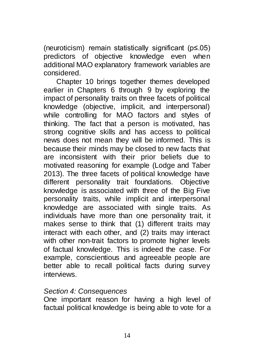(neuroticism) remain statistically significant (p≤.05) predictors of objective knowledge even when additional MAO explanatory framework variables are considered.

Chapter 10 brings together themes developed earlier in Chapters 6 through 9 by exploring the impact of personality traits on three facets of political knowledge (objective, implicit, and interpersonal) while controlling for MAO factors and styles of thinking. The fact that a person is motivated, has strong cognitive skills and has access to political news does not mean they will be informed. This is because their minds may be closed to new facts that are inconsistent with their prior beliefs due to motivated reasoning for example (Lodge and Taber 2013). The three facets of political knowledge have different personality trait foundations. Objective knowledge is associated with three of the Big Five personality traits, while implicit and interpersonal knowledge are associated with single traits. As individuals have more than one personality trait, it makes sense to think that (1) different traits may interact with each other, and (2) traits may interact with other non-trait factors to promote higher levels of factual knowledge. This is indeed the case. For example, conscientious and agreeable people are better able to recall political facts during survey interviews.

#### *Section 4: Consequences*

One important reason for having a high level of factual political knowledge is being able to vote for a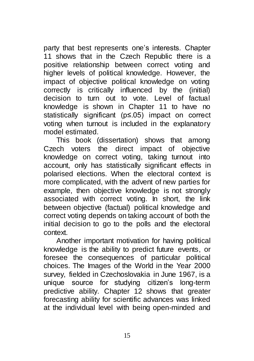party that best represents one's interests. Chapter 11 shows that in the Czech Republic there is a positive relationship between correct voting and higher levels of political knowledge. However, the impact of objective political knowledge on voting correctly is critically influenced by the (initial) decision to turn out to vote. Level of factual knowledge is shown in Chapter 11 to have no statistically significant (p≤.05) impact on correct voting when turnout is included in the explanatory model estimated.

This book (dissertation) shows that among Czech voters the direct impact of objective knowledge on correct voting, taking turnout into account, only has statistically significant effects in polarised elections. When the electoral context is more complicated, with the advent of new parties for example, then objective knowledge is not strongly associated with correct voting. In short, the link between objective (factual) political knowledge and correct voting depends on taking account of both the initial decision to go to the polls and the electoral context.

Another important motivation for having political knowledge is the ability to predict future events, or foresee the consequences of particular political choices. The Images of the World in the Year 2000 survey, fielded in Czechoslovakia in June 1967, is a unique source for studying citizen's long-term predictive ability. Chapter 12 shows that greater forecasting ability for scientific advances was linked at the individual level with being open-minded and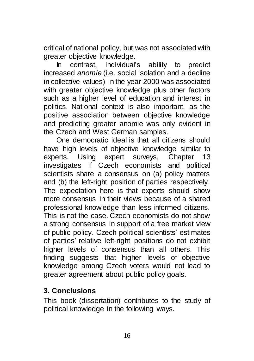critical of national policy, but was not associated with greater objective knowledge.

In contrast, individual's ability to predict increased *anomie* (i.e. social isolation and a decline in collective values) in the year 2000 was associated with greater objective knowledge plus other factors such as a higher level of education and interest in politics. National context is also important, as the positive association between objective knowledge and predicting greater anomie was only evident in the Czech and West German samples.

One democratic ideal is that all citizens should have high levels of objective knowledge similar to experts. Using expert surveys, Chapter 13 investigates if Czech economists and political scientists share a consensus on (a) policy matters and (b) the left-right position of parties respectively. The expectation here is that experts should show more consensus in their views because of a shared professional knowledge than less informed citizens. This is not the case. Czech economists do not show a strong consensus in support of a free market view of public policy. Czech political scientists' estimates of parties' relative left-right positions do not exhibit higher levels of consensus than all others. This finding suggests that higher levels of objective knowledge among Czech voters would not lead to greater agreement about public policy goals.

## **3. Conclusions**

This book (dissertation) contributes to the study of political knowledge in the following ways.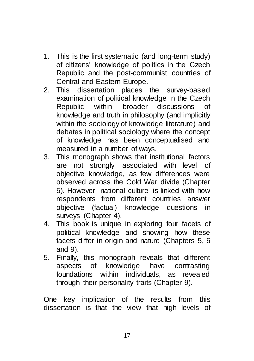- 1. This is the first systematic (and long-term study) of citizens' knowledge of politics in the Czech Republic and the post-communist countries of Central and Eastern Europe.
- 2. This dissertation places the survey-based examination of political knowledge in the Czech Republic within broader discussions of knowledge and truth in philosophy (and implicitly within the sociology of knowledge literature) and debates in political sociology where the concept of knowledge has been conceptualised and measured in a number of ways.
- 3. This monograph shows that institutional factors are not strongly associated with level of objective knowledge, as few differences were observed across the Cold War divide (Chapter 5). However, national culture is linked with how respondents from different countries answer objective (factual) knowledge questions in surveys (Chapter 4).
- 4. This book is unique in exploring four facets of political knowledge and showing how these facets differ in origin and nature (Chapters 5, 6 and 9).
- 5. Finally, this monograph reveals that different aspects of knowledge have contrasting foundations within individuals, as revealed through their personality traits (Chapter 9).

One key implication of the results from this dissertation is that the view that high levels of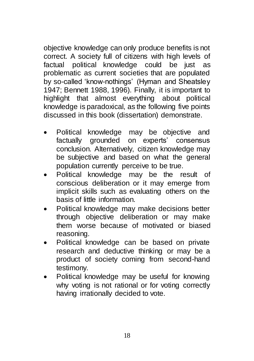objective knowledge can only produce benefits is not correct. A society full of citizens with high levels of factual political knowledge could be just as problematic as current societies that are populated by so-called 'know-nothings' (Hyman and Sheatsley 1947; Bennett 1988, 1996). Finally, it is important to highlight that almost everything about political knowledge is paradoxical, as the following five points discussed in this book (dissertation) demonstrate.

- Political knowledge may be objective and factually grounded on experts' consensus conclusion. Alternatively, citizen knowledge may be subjective and based on what the general population currently perceive to be true.
- Political knowledge may be the result of conscious deliberation or it may emerge from implicit skills such as evaluating others on the basis of little information.
- Political knowledge may make decisions better through objective deliberation or may make them worse because of motivated or biased reasoning.
- Political knowledge can be based on private research and deductive thinking or may be a product of society coming from second-hand testimony.
- Political knowledge may be useful for knowing why voting is not rational or for voting correctly having irrationally decided to vote.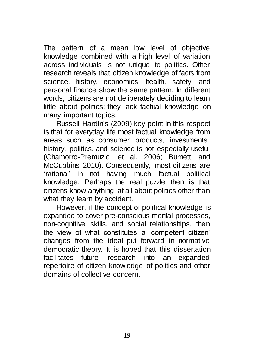The pattern of a mean low level of objective knowledge combined with a high level of variation across individuals is not unique to politics. Other research reveals that citizen knowledge of facts from science, history, economics, health, safety, and personal finance show the same pattern. In different words, citizens are not deliberately deciding to learn little about politics; they lack factual knowledge on many important topics.

Russell Hardin's (2009) key point in this respect is that for everyday life most factual knowledge from areas such as consumer products, investments, history, politics, and science is not especially useful (Chamorro-Premuzic et al. 2006; Burnett and McCubbins 2010). Consequently, most citizens are 'rational' in not having much factual political knowledge. Perhaps the real puzzle then is that citizens know anything at all about politics other than what they learn by accident.

However, if the concept of political knowledge is expanded to cover pre-conscious mental processes, non-cognitive skills, and social relationships, then the view of what constitutes a 'competent citizen' changes from the ideal put forward in normative democratic theory. It is hoped that this dissertation facilitates future research into an expanded repertoire of citizen knowledge of politics and other domains of collective concern.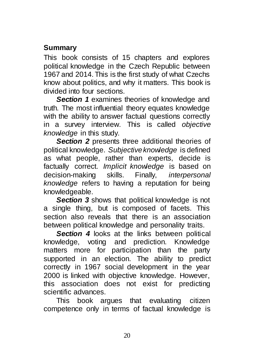# **Summary**

This book consists of 15 chapters and explores political knowledge in the Czech Republic between 1967 and 2014. This is the first study of what Czechs know about politics, and why it matters. This book is divided into four sections.

*Section 1* examines theories of knowledge and truth. The most influential theory equates knowledge with the ability to answer factual questions correctly in a survey interview. This is called *objective knowledge* in this study.

**Section 2** presents three additional theories of political knowledge. *Subjective knowledge* is defined as what people, rather than experts, decide is factually correct. *Implicit knowledge* is based on decision-making skills. Finally, *interpersonal knowledge* refers to having a reputation for being knowledgeable.

**Section 3** shows that political knowledge is not a single thing, but is composed of facets. This section also reveals that there is an association between political knowledge and personality traits.

**Section 4** looks at the links between political knowledge, voting and prediction. Knowledge matters more for participation than the party supported in an election. The ability to predict correctly in 1967 social development in the year 2000 is linked with objective knowledge. However, this association does not exist for predicting scientific advances.

This book argues that evaluating citizen competence only in terms of factual knowledge is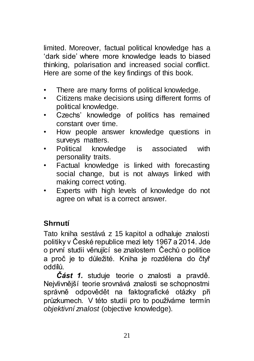limited. Moreover, factual political knowledge has a 'dark side' where more knowledge leads to biased thinking, polarisation and increased social conflict. Here are some of the key findings of this book.

- There are many forms of political knowledge.
- Citizens make decisions using different forms of political knowledge.
- Czechs' knowledge of politics has remained constant over time.
- How people answer knowledge questions in surveys matters.
- Political knowledge is associated with personality traits.
- Factual knowledge is linked with forecasting social change, but is not always linked with making correct voting.
- Experts with high levels of knowledge do not agree on what is a correct answer.

# **Shrnutí**

Tato kniha sestává z 15 kapitol a odhaluje znalosti politiky v České republice mezi lety 1967 a 2014. Jde o první studii věnující se znalostem Čechů o politice a proč je to důležité. Kniha je rozdělena do čtyř oddílů.

*Část 1.* studuje teorie o znalosti a pravdě. Nejvlivnější teorie srovnává znalosti se schopnostmi správně odpovědět na faktografické otázky při průzkumech. V této studii pro to používáme termín *objektivní znalost* (objective knowledge).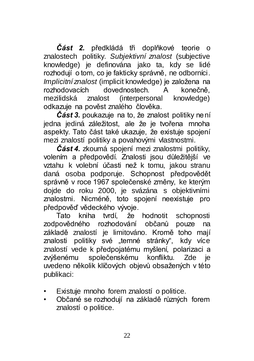*Část 2.* předkládá tři doplňkové teorie o znalostech politiky. *Subjektivní znalost* (subjective knowledge) je definována jako ta, kdy se lidé rozhodují o tom, co je fakticky správně, ne odborníci. *Implicitní znalost* (implicit knowledge) je založena na rozhodovacích dovednostech. A konečně, mezilidská znalost (interpersonal knowledge) odkazuje na pověst znalého člověka.

*Část 3.* poukazuje na to, že znalost politiky není jedna jediná záležitost, ale že je tvořena mnoha aspekty. Tato část také ukazuje, že existuje spojení mezi znalostí politiky a povahovými vlastnostmi.

*Část 4.* zkoumá spojení mezi znalostmi politiky, volením a předpovědí. Znalosti jsou důležitější ve vztahu k volební účasti než k tomu, jakou stranu daná osoba podporuje. Schopnost předpovědět správně v roce 1967 společenské změny, ke kterým dojde do roku 2000, je svázána s objektivními znalostmi. Nicméně, toto spojení neexistuje pro předpověď vědeckého vývoje.

Tato kniha tvrdí, že hodnotit schopnosti zodpovědného rozhodování občanů pouze na základě znalostí je limitováno. Kromě toho mají znalosti politiky své "temné stránky", kdy více znalostí vede k předpojatému myšlení, polarizaci a zvýšenému společenskému konfliktu. Zde je uvedeno několik klíčových objevů obsažených v této publikaci:

- Existuje mnoho forem znalostí o politice.
- Občané se rozhodují na základě různých forem znalostí o politice.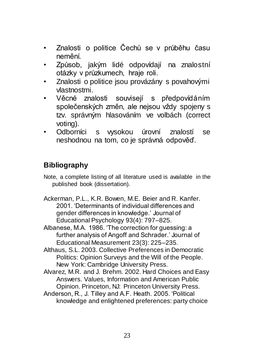- Znalosti o politice Čechů se v průběhu času nemění.
- Způsob, jakým lidé odpovídají na znalostní otázky v průzkumech, hraje roli.
- Znalosti o politice jsou provázány s povahovými vlastnostmi.
- Věcné znalosti souvisejí s předpovídáním společenských změn, ale nejsou vždy spojeny s tzv. správným hlasováním ve volbách (correct voting).
- Odborníci s vysokou úrovní znalostí se neshodnou na tom, co je správná odpověď.

# **Bibliography**

Note, a complete listing of all literature used is available in the published book (dissertation).

Ackerman, P.L., K.R. Bowen, M.E. Beier and R. Kanfer. 2001. 'Determinants of individual differences and gender differences in knowledge.' Journal of Educational Psychology 93(4): 797–825.

Albanese, M.A. 1986. 'The correction for guessing: a further analysis of Angoff and Schrader.' Journal of Educational Measurement 23(3): 225–235.

Althaus, S.L. 2003. Collective Preferences in Democratic Politics: Opinion Surveys and the Will of the People. New York: Cambridge University Press.

Alvarez, M.R. and J. Brehm. 2002. Hard Choices and Easy Answers. Values, Information and American Public Opinion. Princeton, NJ: Princeton University Press.

Anderson, R., J. Tilley and A.F. Heath. 2005. 'Political knowledge and enlightened preferences: party choice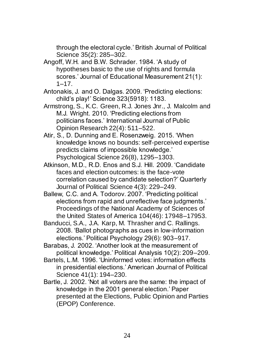through the electoral cycle.' British Journal of Political Science 35(2): 285–302.

- Angoff, W.H. and B.W. Schrader. 1984. 'A study of hypotheses basic to the use of rights and formula scores.' Journal of Educational Measurement 21(1): 1–17.
- Antonakis, J. and O. Dalgas. 2009. 'Predicting elections: child's play!' Science 323(5918): 1183.
- Armstrong, S., K.C. Green, R.J. Jones Jnr., J. Malcolm and M.J. Wright. 2010. 'Predicting elections from politicians faces.' International Journal of Public Opinion Research 22(4): 511–522.
- Atir, S., D. Dunning and E. Rosenzweig. 2015. 'When knowledge knows no bounds: self-perceived expertise predicts claims of impossible knowledge.' Psychological Science 26(8), 1295–1303.
- Atkinson, M.D., R.D. Enos and S.J. Hill. 2009. 'Candidate faces and election outcomes: is the face-vote correlation caused by candidate selection?' Quarterly Journal of Political Science 4(3): 229–249.
- Ballew, C.C. and A. Todorov. 2007. 'Predicting political elections from rapid and unreflective face judgments.' Proceedings of the National Academy of Sciences of the United States of America 104(46): 17948–17953.
- Banducci, S.A., J.A. Karp, M. Thrasher and C. Rallings. 2008. 'Ballot photographs as cues in low-information elections.' Political Psychology 29(6): 903–917.
- Barabas, J. 2002. 'Another look at the measurement of political knowledge.' Political Analysis 10(2): 209–209.
- Bartels, L.M. 1996. 'Uninformed votes: information effects in presidential elections.' American Journal of Political Science 41(1): 194–230.
- Bartle, J. 2002. 'Not all voters are the same: the impact of knowledge in the 2001 general election.' Paper presented at the Elections, Public Opinion and Parties (EPOP) Conference.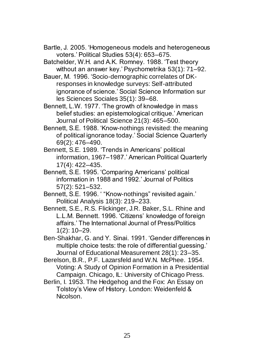- Bartle, J. 2005. 'Homogeneous models and heterogeneous voters.' Political Studies 53(4): 653–675.
- Batchelder, W.H. and A.K. Romney. 1988. 'Test theory without an answer key.' Psychometrika 53(1): 71–92.
- Bauer, M. 1996. 'Socio-demographic correlates of DKresponses in knowledge surveys: Self-attributed ignorance of science.' Social Science Information sur les Sciences Sociales 35(1): 39–68.
- Bennett, L.W. 1977. 'The growth of knowledge in mass belief studies: an epistemological critique.' American Journal of Political Science 21(3): 465–500.
- Bennett, S.E. 1988. 'Know-nothings revisited: the meaning of political ignorance today.' Social Science Quarterly 69(2): 476–490.
- Bennett, S.E. 1989. 'Trends in Americans' political information, 1967–1987.' American Political Quarterly 17(4): 422–435.
- Bennett, S.E. 1995. 'Comparing Americans' political information in 1988 and 1992.' Journal of Politics 57(2): 521–532.
- Bennett, S.E. 1996. ' "Know-nothings" revisited again.' Political Analysis 18(3): 219–233.
- Bennett, S.E., R.S. Flickinger, J.R. Baker, S.L. Rhine and L.L.M. Bennett. 1996. 'Citizens' knowledge of foreign affairs.' The International Journal of Press/Politics 1(2): 10–29.
- Ben-Shakhar, G. and Y. Sinai. 1991. 'Gender differences in multiple choice tests: the role of differential guessing.' Journal of Educational Measurement 28(1): 23–35.
- Berelson, B.R., P.F. Lazarsfeld and W.N. McPhee. 1954. Voting: A Study of Opinion Formation in a Presidential Campaign. Chicago, IL: University of Chicago Press.
- Berlin, I. 1953. The Hedgehog and the Fox: An Essay on Tolstoy's View of History. London: Weidenfeld & Nicolson.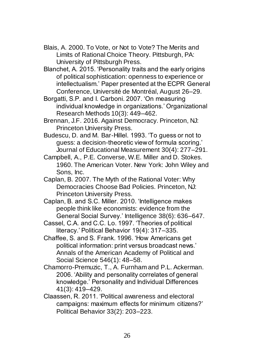- Blais, A. 2000. To Vote, or Not to Vote? The Merits and Limits of Rational Choice Theory. Pittsburgh, PA: University of Pittsburgh Press.
- Blanchet, A. 2015. 'Personality traits and the early origins of political sophistication: openness to experience or intellectualism.' Paper presented at the ECPR General Conference, Université de Montréal, August 26–29.
- Borgatti, S.P. and I. Carboni. 2007. 'On measuring individual knowledge in organizations.' Organizational Research Methods 10(3): 449–462.
- Brennan, J.F. 2016. Against Democracy. Princeton, NJ: Princeton University Press.
- Budescu, D. and M. Bar-Hillel. 1993. 'To guess or not to guess: a decision-theoretic view of formula scoring.' Journal of Educational Measurement 30(4): 277–291.
- Campbell, A., P.E. Converse, W.E. Miller and D. Stokes. 1960. The American Voter. New York: John Wiley and Sons, Inc.
- Caplan, B. 2007. The Myth of the Rational Voter: Why Democracies Choose Bad Policies. Princeton, NJ: Princeton University Press.
- Caplan, B. and S.C. Miller. 2010. 'Intelligence makes people think like economists: evidence from the General Social Survey.' Intelligence 38(6): 636–647.
- Cassel, C.A. and C.C. Lo. 1997. 'Theories of political literacy.' Political Behavior 19(4): 317–335.
- Chaffee, S. and S. Frank. 1996. 'How Americans get political information: print versus broadcast news.' Annals of the American Academy of Political and Social Science 546(1): 48–58.
- Chamorro-Premuzic, T., A. Furnham and P.L. Ackerman. 2006. 'Ability and personality correlates of general knowledge.' Personality and Individual Differences 41(3): 419–429.
- Claassen, R. 2011. 'Political awareness and electoral campaigns: maximum effects for minimum citizens?' Political Behavior 33(2): 203–223.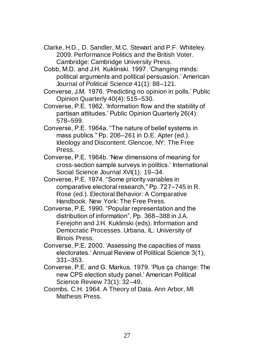- Clarke, H.D., D. Sandler, M.C. Stewart and P.F. Whiteley. 2009. Performance Politics and the British Voter. Cambridge: Cambridge University Press.
- Cobb, M.D. and J.H. Kuklinski. 1997. 'Changing minds: political arguments and political persuasion.' American Journal of Political Science 41(1): 88–121.
- Converse, J.M. 1976. 'Predicting no opinion in polls.' Public Opinion Quarterly 40(4): 515–530.
- Converse, P.E. 1962. 'Information flow and the stability of partisan attitudes.' Public Opinion Quarterly 26(4): 578–599.
- Converse, P.E. 1964a. "The nature of belief systems in mass publics." Pp. 206–261 in D.E. Apter (ed.). Ideology and Discontent. Glencoe, NY: The Free Press.
- Converse, P.E. 1964b. 'New dimensions of meaning for cross-section sample surveys in politics.' International Social Science Journal XVI(1): 19-34.
- Converse, P.E. 1974. "Some priority variables in comparative electoral research," Pp. 727–745 in R. Rose (ed.). Electoral Behavior: A Comparative Handbook. New York: The Free Press.
- Converse, P.E. 1990. "Popular representation and the distribution of information", Pp. 368–388 in J.A. Ferejohn and J.H. Kuklinski (eds). Information and Democratic Processes. Urbana, IL: University of Illinois Press.
- Converse, P.E. 2000. 'Assessing the capacities of mass electorates.' Annual Review of Political Science 3(1), 331–353.
- Converse, P.E. and G. Markus. 1979. 'Plus ça change: The new CPS election study panel.' American Political Science Review 73(1): 32–49.
- Coombs. C.H. 1964. A Theory of Data. Ann Arbor, MI: Mathesis Press.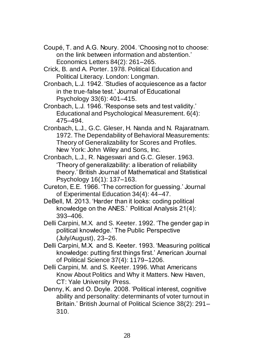- Coupé, T. and A.G. Noury. 2004. 'Choosing not to choose: on the link between information and abstention.' Economics Letters 84(2): 261–265.
- Crick, B. and A. Porter. 1978. Political Education and Political Literacy. London: Longman.
- Cronbach, L.J. 1942. 'Studies of acquiescence as a factor in the true-false test.' Journal of Educational Psychology 33(6): 401–415.
- Cronbach, L.J. 1946. 'Response sets and test validity.' Educational and Psychological Measurement. 6(4): 475–494.
- Cronbach, L.J., G.C. Gleser, H. Nanda and N. Rajaratnam. 1972. The Dependability of Behavioral Measurements: Theory of Generalizability for Scores and Profiles. New York: John Wiley and Sons, Inc.
- Cronbach, L.J., R. Nageswari and G.C. Gleser. 1963. 'Theory of generalizability: a liberation of reliability theory.' British Journal of Mathematical and Statistical Psychology 16(1): 137–163.
- Cureton, E.E. 1966. 'The correction for guessing.' Journal of Experimental Education 34(4): 44–47.
- DeBell, M. 2013. 'Harder than it looks: coding political knowledge on the ANES.' Political Analysis 21(4): 393–406.
- Delli Carpini, M.X. and S. Keeter. 1992. 'The gender gap in political knowledge.' The Public Perspective (July/August), 23–26.
- Delli Carpini, M.X. and S. Keeter. 1993. 'Measuring political knowledge: putting first things first.' American Journal of Political Science 37(4): 1179–1206.
- Delli Carpini, M. and S. Keeter. 1996. What Americans Know About Politics and Why it Matters. New Haven, CT: Yale University Press.
- Denny, K. and O. Doyle. 2008. 'Political interest, cognitive ability and personality: determinants of voter turnout in Britain.' British Journal of Political Science 38(2): 291– 310.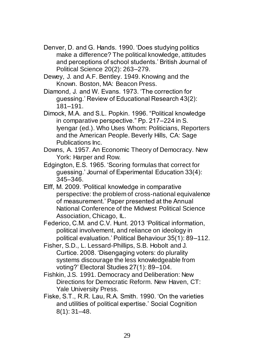- Denver, D. and G. Hands. 1990. 'Does studying politics make a difference? The political knowledge, attitudes and perceptions of school students.' British Journal of Political Science 20(2): 263–279.
- Dewey, J. and A.F. Bentley. 1949. Knowing and the Known. Boston, MA: Beacon Press.
- Diamond, J. and W. Evans. 1973. 'The correction for guessing.' Review of Educational Research 43(2): 181–191.
- Dimock, M.A. and S.L. Popkin. 1996. "Political knowledge in comparative perspective." Pp. 217–224 in S. Iyengar (ed.). Who Uses Whom: Politicians, Reporters and the American People. Beverly Hills, CA: Sage Publications Inc.
- Downs, A. 1957. An Economic Theory of Democracy. New York: Harper and Row.
- Edgington, E.S. 1965. 'Scoring formulas that correct for guessing.' Journal of Experimental Education 33(4): 345–346.
- Elff, M. 2009. 'Political knowledge in comparative perspective: the problem of cross-national equivalence of measurement.' Paper presented at the Annual National Conference of the Midwest Political Science Association, Chicago, IL.
- Federico, C.M. and C.V. Hunt. 2013 'Political information, political involvement, and reliance on ideology in political evaluation.' Political Behaviour 35(1): 89–112.
- Fisher, S.D., L. Lessard-Phillips, S.B. Hobolt and J. Curtice. 2008. 'Disengaging voters: do plurality systems discourage the less knowledgeable from voting?' Electoral Studies 27(1): 89–104.
- Fishkin, J.S. 1991. Democracy and Deliberation: New Directions for Democratic Reform. New Haven, CT: Yale University Press.
- Fiske, S.T., R.R. Lau, R.A. Smith. 1990. 'On the varieties and utilities of political expertise.' Social Cognition 8(1): 31–48.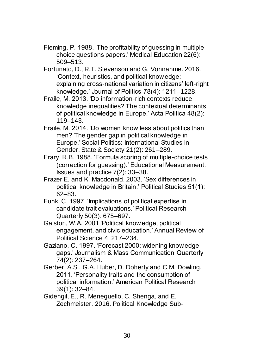- Fleming, P. 1988. 'The profitability of guessing in multiple choice questions papers.' Medical Education 22(6): 509–513.
- Fortunato, D., R.T. Stevenson and G. Vonnahme. 2016. 'Context, heuristics, and political knowledge: explaining cross-national variation in citizens' left-right knowledge.' Journal of Politics 78(4): 1211–1228.
- Fraile, M. 2013. 'Do information-rich contexts reduce knowledge inequalities? The contextual determinants of political knowledge in Europe.' Acta Politica 48(2): 119–143.
- Fraile, M. 2014. 'Do women know less about politics than men? The gender gap in political knowledge in Europe.' Social Politics: International Studies in Gender, State & Society 21(2): 261–289.
- Frary, R.B. 1988. 'Formula scoring of multiple-choice tests (correction for guessing).' Educational Measurement: Issues and practice 7(2): 33–38.
- Frazer E. and K. Macdonald. 2003. 'Sex differences in political knowledge in Britain.' Political Studies 51(1): 62–83.
- Funk, C. 1997. 'Implications of political expertise in candidate trait evaluations.' Political Research Quarterly 50(3): 675–697.
- Galston, W.A. 2001 'Political knowledge, political engagement, and civic education.' Annual Review of Political Science 4: 217–234.
- Gaziano, C. 1997. 'Forecast 2000: widening knowledge gaps.' Journalism & Mass Communication Quarterly 74(2): 237–264.
- Gerber, A.S., G.A. Huber, D. Doherty and C.M. Dowling. 2011. 'Personality traits and the consumption of political information.' American Political Research 39(1): 32–84.
- Gidengil, E., R. Meneguello, C. Shenga, and E. Zechmeister. 2016. Political Knowledge Sub-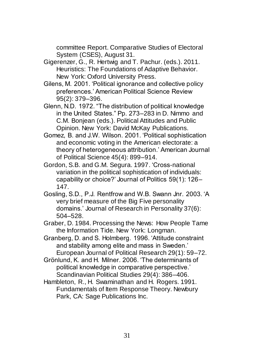committee Report. Comparative Studies of Electoral System (CSES), August 31.

- Gigerenzer, G., R. Hertwig and T. Pachur. (eds.). 2011. Heuristics: The Foundations of Adaptive Behavior. New York: Oxford University Press.
- Gilens, M. 2001. 'Political ignorance and collective policy preferences.' American Political Science Review 95(2): 379–396.
- Glenn, N.D. 1972. "The distribution of political knowledge in the United States." Pp. 273–283 in D. Nimmo and C.M. Bonjean (eds.). Political Attitudes and Public Opinion. New York: David McKay Publications.
- Gomez, B. and J.W. Wilson. 2001. 'Political sophistication and economic voting in the American electorate: a theory of heterogeneous attribution.' American Journal of Political Science 45(4): 899–914.
- Gordon, S.B. and G.M. Segura. 1997. 'Cross-national variation in the political sophistication of individuals: capability or choice?' Journal of Politics 59(1): 126– 147.
- Gosling, S.D., P.J. Rentfrow and W.B. Swann Jnr. 2003. 'A very brief measure of the Big Five personality domains.' Journal of Research in Personality 37(6): 504–528.
- Graber, D. 1984. Processing the News: How People Tame the Information Tide. New York: Longman.
- Granberg, D. and S. Holmberg. 1996. 'Attitude constraint and stability among elite and mass in Sweden.' European Journal of Political Research 29(1): 59–72.
- Grönlund, K. and H. Milner. 2006. 'The determinants of political knowledge in comparative perspective.' Scandinavian Political Studies 29(4): 386–406.
- Hambleton, R., H. Swaminathan and H. Rogers, 1991. Fundamentals of Item Response Theory. Newbury Park, CA: Sage Publications Inc.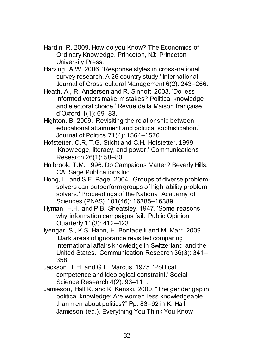- Hardin, R. 2009. How do you Know? The Economics of Ordinary Knowledge. Princeton, NJ: Princeton University Press.
- Harzing, A.W. 2006. 'Response styles in cross-national survey research. A 26 country study.' International Journal of Cross-cultural Management 6(2): 243–266.
- Heath, A., R. Andersen and R. Sinnott. 2003. 'Do less informed voters make mistakes? Political knowledge and electoral choice.' Revue de la Maison française d'Oxford 1(1): 69–83.
- Highton, B. 2009. 'Revisiting the relationship between educational attainment and political sophistication.' Journal of Politics 71(4): 1564–1576.
- Hofstetter, C.R, T.G. Sticht and C.H. Hofstetter. 1999. 'Knowledge, literacy, and power.' Communications Research 26(1): 58–80.
- Holbrook, T.M. 1996. Do Campaigns Matter? Beverly Hills, CA: Sage Publications Inc.
- Hong, L. and S.E. Page. 2004. 'Groups of diverse problemsolvers can outperform groups of high-ability problemsolvers.' Proceedings of the National Academy of Sciences (PNAS) 101(46): 16385–16389.
- Hyman, H.H. and P.B. Sheatsley. 1947. 'Some reasons why information campaigns fail.' Public Opinion Quarterly 11(3): 412–423.
- Iyengar, S., K.S. Hahn, H. Bonfadelli and M. Marr. 2009. 'Dark areas of ignorance revisited comparing international affairs knowledge in Switzerland and the United States.' Communication Research 36(3): 341– 358.
- Jackson, T.H. and G.E. Marcus. 1975. 'Political competence and ideological constraint.' Social Science Research 4(2): 93–111.
- Jamieson, Hall K. and K. Kenski. 2000. "The gender gap in political knowledge: Are women less knowledgeable than men about politics?" Pp. 83–92 in K. Hall Jamieson (ed.). Everything You Think You Know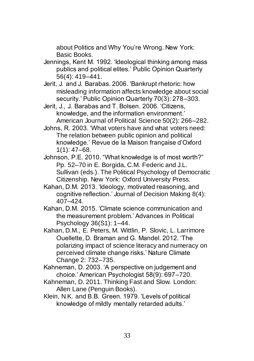about Politics and Why You're Wrong. New York: Basic Books.

- Jennings, Kent M. 1992. 'Ideological thinking among mass publics and political elites.' Public Opinion Quarterly 56(4): 419–441.
- Jerit, J. and J. Barabas. 2006. 'Bankrupt rhetoric: how misleading information affects knowledge about social security.' Public Opinion Quarterly 70(3): 278–303.
- Jerit, J., J. Barabas and T. Bolsen. 2006. 'Citizens, knowledge, and the information environment.' American Journal of Political Science 50(2): 266–282.
- Johns, R. 2003. 'What voters have and what voters need: The relation between public opinion and political knowledge.' Revue de la Maison française d'Oxford  $1(1): 47–68.$
- Johnson, P.E. 2010. "What knowledge is of most worth?" Pp. 52–70 in E. Borgida, C.M. Federic and J.L. Sullivan (eds.). The Political Psychology of Democratic Citizenship. New York: Oxford University Press.
- Kahan, D.M. 2013. 'Ideology, motivated reasoning, and cognitive reflection.' Journal of Decision Making 8(4): 407–424.
- Kahan, D.M. 2015. 'Climate science communication and the measurement problem.' Advances in Political Psychology 36(S1): 1–44.
- Kahan, D.M., E. Peters, M. Wittlin, P. Slovic, L. Larrimore Ouellette, D. Braman and G. Mandel. 2012. 'The polarizing impact of science literacy and numeracy on perceived climate change risks.' Nature Climate Change 2: 732–735.
- Kahneman, D. 2003. 'A perspective on judgement and choice.' American Psychologist 58(9): 697–720.
- Kahneman, D. 2011. Thinking Fast and Slow. London: Allen Lane (Penguin Books).
- Klein, N.K. and B.B. Green. 1979. 'Levels of political knowledge of mildly mentally retarded adults.'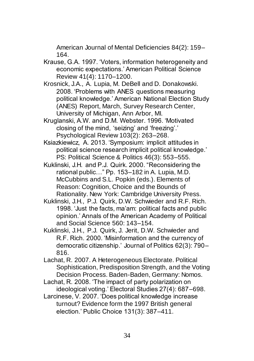American Journal of Mental Deficiencies 84(2): 159– 164.

- Krause, G.A. 1997. 'Voters, information heterogeneity and economic expectations.' American Political Science Review 41(4): 1170–1200.
- Krosnick, J.A., A. Lupia, M. DeBell and D. Donakowski. 2008. 'Problems with ANES questions measuring political knowledge.' American National Election Study (ANES) Report, March, Survey Research Center, University of Michigan, Ann Arbor, MI.
- Kruglanski, A.W. and D.M. Webster. 1996. 'Motivated closing of the mind, 'seizing' and 'freezing'.' Psychological Review 103(2): 263–268.
- Ksiazkiewicz, A. 2013. 'Symposium: implicit attitudes in political science research implicit political knowledge.' PS: Political Science & Politics 46(3): 553–555.
- Kuklinski, J.H. and P.J. Quirk. 2000. "Reconsidering the rational public…" Pp. 153–182 in A. Lupia, M.D. McCubbins and S.L. Popkin (eds.). Elements of Reason: Cognition, Choice and the Bounds of Rationality. New York: Cambridge University Press.
- Kuklinski, J.H., P.J. Quirk, D.W. Schwieder and R.F. Rich. 1998. 'Just the facts, ma'am: political facts and public opinion.' Annals of the American Academy of Political and Social Science 560: 143–154.
- Kuklinski, J.H., P.J. Quirk, J. Jerit, D.W. Schwieder and R.F. Rich. 2000. 'Misinformation and the currency of democratic citizenship.' Journal of Politics 62(3): 790– 816.
- Lachat, R. 2007. A Heterogeneous Electorate. Political Sophistication, Predisposition Strength, and the Voting Decision Process. Baden-Baden, Germany: Nomos.
- Lachat, R. 2008. 'The impact of party polarization on ideological voting.' Electoral Studies 27(4): 687–698.
- Larcinese, V. 2007. 'Does political knowledge increase turnout? Evidence form the 1997 British general election.' Public Choice 131(3): 387–411.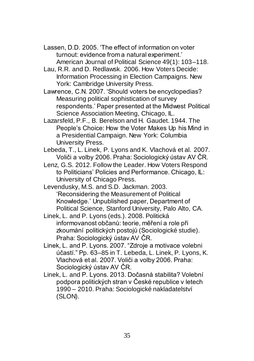- Lassen, D.D. 2005. 'The effect of information on voter turnout: evidence from a natural experiment.' American Journal of Political Science 49(1): 103–118.
- Lau, R.R. and D. Redlawsk. 2006. How Voters Decide: Information Processing in Election Campaigns. New York: Cambridge University Press.
- Lawrence, C.N. 2007. 'Should voters be encyclopedias? Measuring political sophistication of survey respondents.' Paper presented at the Midwest Political Science Association Meeting, Chicago, IL.
- Lazarsfeld, P.F., B. Berelson and H. Gaudet. 1944. The People's Choice: How the Voter Makes Up his Mind in a Presidential Campaign. New York: Columbia University Press.
- Lebeda, T., L. Linek, P. Lyons and K. Vlachová et al. 2007. Voliči a volby 2006. Praha: Sociologický ústav AV ČR.
- Lenz, G.S. 2012. Follow the Leader. How Voters Respond to Politicians' Policies and Performance. Chicago, IL: University of Chicago Press.
- Levendusky, M.S. and S.D. Jackman. 2003. 'Reconsidering the Measurement of Political Knowledge.' Unpublished paper, Department of Political Science, Stanford University, Palo Alto, CA.
- Linek, L. and P. Lyons (eds.). 2008. Politická informovanost občanů: teorie, měření a role při zkoumání politických postojů (Sociologické studie). Praha: Sociologický ústav AV ČR.
- Linek, L. and P. Lyons. 2007. "Zdroje a motivace volebni účastí." Pp. 63–85 in T. Lebeda, L. Linek, P. Lyons, K. Vlachová et al. 2007. Voliči a volby 2006. Praha: Sociologický ústav AV ČR.
- Linek, L. and P. Lyons. 2013. Dočasná stabilita? Volební podpora politických stran v České republice v letech 1990 – 2010. Praha: Sociologické nakladatelství (SLON).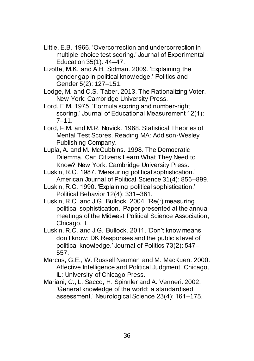- Little, E.B. 1966. 'Overcorrection and undercorrection in multiple-choice test scoring.' Journal of Experimental Education 35(1): 44–47.
- Lizotte, M.K. and A.H. Sidman. 2009. 'Explaining the gender gap in political knowledge.' Politics and Gender 5(2): 127–151.
- Lodge, M. and C.S. Taber. 2013. The Rationalizing Voter. New York: Cambridge University Press.
- Lord, F.M. 1975. 'Formula scoring and number-right scoring.' Journal of Educational Measurement 12(1): 7–11.
- Lord, F.M. and M.R. Novick. 1968. Statistical Theories of Mental Test Scores. Reading MA: Addison-Wesley Publishing Company.
- Lupia, A. and M. McCubbins. 1998. The Democratic Dilemma. Can Citizens Learn What They Need to Know? New York: Cambridge University Press.
- Luskin, R.C. 1987. 'Measuring political sophistication.' American Journal of Political Science 31(4): 856–899.
- Luskin, R.C. 1990. 'Explaining political sophistication.' Political Behavior 12(4): 331–361.
- Luskin, R.C. and J.G. Bullock. 2004. 'Re(:) measuring political sophistication.' Paper presented at the annual meetings of the Midwest Political Science Association, Chicago, IL.
- Luskin, R.C. and J.G. Bullock. 2011. 'Don't know means don't know: DK Responses and the public's level of political knowledge.' Journal of Politics 73(2): 547– 557.
- Marcus, G.E., W. Russell Neuman and M. MacKuen. 2000. Affective Intelligence and Political Judgment. Chicago, IL: University of Chicago Press.
- Mariani, C., L. Sacco, H. Spinnler and A. Venneri. 2002. 'General knowledge of the world: a standardised assessment.' Neurological Science 23(4): 161–175.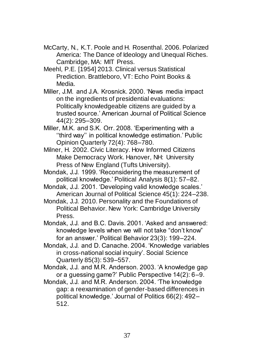- McCarty, N., K.T. Poole and H. Rosenthal. 2006. Polarized America: The Dance of Ideology and Unequal Riches. Cambridge, MA: MIT Press.
- Meehl, P.E. [1954] 2013. Clinical versus Statistical Prediction. Brattleboro, VT: Echo Point Books & Media.
- Miller, J.M. and J.A. Krosnick. 2000. 'News media impact on the ingredients of presidential evaluations: Politically knowledgeable citizens are guided by a trusted source.' American Journal of Political Science 44(2): 295–309.
- Miller, M.K. and S.K. Orr. 2008. 'Experimenting with a ''third way'' in political knowledge estimation.' Public Opinion Quarterly 72(4): 768–780.
- Milner, H. 2002. Civic Literacy. How Informed Citizens Make Democracy Work. Hanover, NH: University Press of New England (Tufts University).
- Mondak, J.J. 1999. 'Reconsidering the measurement of political knowledge.' Political Analysis 8(1): 57–82.
- Mondak, J.J. 2001. 'Developing valid knowledge scales.' American Journal of Political Science 45(1): 224–238.
- Mondak, J.J. 2010. Personality and the Foundations of Political Behavior. New York: Cambridge University Press.
- Mondak, J.J. and B.C. Davis. 2001. 'Asked and answered: knowledge levels when we will not take "don't know" for an answer.' Political Behavior 23(3): 199–224.
- Mondak, J.J. and D. Canache. 2004. 'Knowledge variables in cross-national social inquiry'. Social Science Quarterly 85(3): 539–557.
- Mondak, J.J. and M.R. Anderson. 2003. 'A knowledge gap or a guessing game?' Public Perspective 14(2): 6–9.
- Mondak, J.J. and M.R. Anderson. 2004. 'The knowledge gap: a reexamination of gender-based differences in political knowledge.' Journal of Politics 66(2): 492– 512.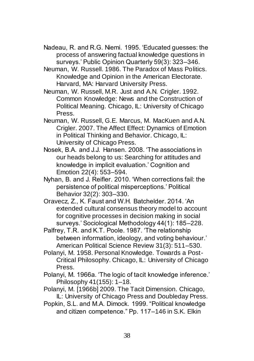- Nadeau, R. and R.G. Niemi. 1995. 'Educated guesses: the process of answering factual knowledge questions in surveys.' Public Opinion Quarterly 59(3): 323–346.
- Neuman, W. Russell. 1986. The Paradox of Mass Politics. Knowledge and Opinion in the American Electorate. Harvard, MA: Harvard University Press.
- Neuman, W. Russell, M.R. Just and A.N. Crigler. 1992. Common Knowledge: News and the Construction of Political Meaning. Chicago, IL: University of Chicago Press.
- Neuman, W. Russell, G.E. Marcus, M. MacKuen and A.N. Crigler. 2007. The Affect Effect: Dynamics of Emotion in Political Thinking and Behavior. Chicago, IL: University of Chicago Press.
- Nosek, B.A. and J.J. Hansen. 2008. 'The associations in our heads belong to us: Searching for attitudes and knowledge in implicit evaluation.' Cognition and Emotion 22(4): 553–594.
- Nyhan, B. and J. Reifler. 2010. 'When corrections fail: the persistence of political misperceptions.' Political Behavior 32(2): 303–330.
- Oravecz, Z., K. Faust and W.H. Batchelder. 2014. 'An extended cultural consensus theory model to account for cognitive processes in decision making in social surveys.' Sociological Methodology 44(1): 185–228.
- Palfrey, T.R. and K.T. Poole. 1987. 'The relationship between information, ideology, and voting behaviour.' American Political Science Review 31(3): 511–530.
- Polanyi, M. 1958. Personal Knowledge. Towards a Post-Critical Philosophy. Chicago, IL: University of Chicago Press.
- Polanyi, M. 1966a. 'The logic of tacit knowledge inference.' Philosophy 41(155): 1–18.
- Polanyi, M. [1966b] 2009. The Tacit Dimension. Chicago, IL: University of Chicago Press and Doubleday Press.
- Popkin, S.L. and M.A. Dimock. 1999. "Political knowledge and citizen competence." Pp. 117–146 in S.K. Elkin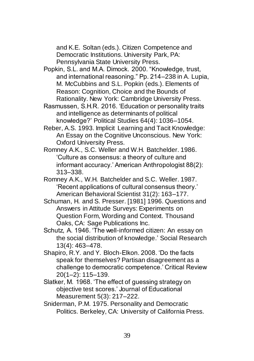and K.E. Soltan (eds.). Citizen Competence and Democratic Institutions. University Park, PA: Pennsylvania State University Press.

- Popkin, S.L. and M.A. Dimock. 2000. "Knowledge, trust, and international reasoning." Pp. 214–238 in A. Lupia, M. McCubbins and S.L. Popkin (eds.). Elements of Reason: Cognition, Choice and the Bounds of Rationality. New York: Cambridge University Press.
- Rasmussen, S.H.R. 2016. 'Education or personality traits and intelligence as determinants of political knowledge?' Political Studies 64(4): 1036–1054.
- Reber, A.S. 1993. Implicit Learning and Tacit Knowledge: An Essay on the Cognitive Unconscious. New York: Oxford University Press.
- Romney A.K., S.C. Weller and W.H. Batchelder. 1986. 'Culture as consensus: a theory of culture and informant accuracy.' American Anthropologist 88(2): 313–338.
- Romney A.K., W.H. Batchelder and S.C. Weller. 1987. 'Recent applications of cultural consensus theory.' American Behavioral Scientist 31(2): 163–177.
- Schuman, H. and S. Presser. [1981] 1996. Questions and Answers in Attitude Surveys: Experiments on Question Form, Wording and Context. Thousand Oaks, CA: Sage Publications Inc.
- Schutz, A. 1946. 'The well-informed citizen: An essay on the social distribution of knowledge.' Social Research 13(4): 463–478.
- Shapiro, R.Y. and Y. Bloch-Elkon. 2008. 'Do the facts speak for themselves? Partisan disagreement as a challenge to democratic competence.' Critical Review 20(1–2): 115–139.
- Slatker, M. 1968. 'The effect of guessing strategy on objective test scores.' Journal of Educational Measurement 5(3): 217–222.
- Sniderman, P.M. 1975. Personality and Democratic Politics. Berkeley, CA: University of California Press.